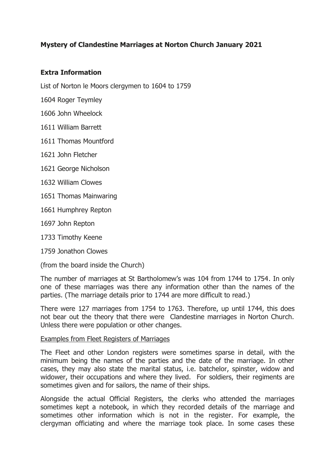# **Mystery of Clandestine Marriages at Norton Church January 2021**

### **Extra Information**

List of Norton le Moors clergymen to 1604 to 1759

1604 Roger Teymley

- 1606 John Wheelock
- 1611 William Barrett
- 1611 Thomas Mountford
- 1621 John Fletcher
- 1621 George Nicholson
- 1632 William Clowes
- 1651 Thomas Mainwaring
- 1661 Humphrey Repton
- 1697 John Repton
- 1733 Timothy Keene
- 1759 Jonathon Clowes

(from the board inside the Church)

The number of marriages at St Bartholomew's was 104 from 1744 to 1754. In only one of these marriages was there any information other than the names of the parties. (The marriage details prior to 1744 are more difficult to read.)

There were 127 marriages from 1754 to 1763. Therefore, up until 1744, this does not bear out the theory that there were Clandestine marriages in Norton Church. Unless there were population or other changes.

#### Examples from Fleet Registers of Marriages

The Fleet and other London registers were sometimes sparse in detail, with the minimum being the names of the parties and the date of the marriage. In other cases, they may also state the marital status, i.e. batchelor, spinster, widow and widower, their occupations and where they lived. For soldiers, their regiments are sometimes given and for sailors, the name of their ships.

Alongside the actual Official Registers, the clerks who attended the marriages sometimes kept a notebook, in which they recorded details of the marriage and sometimes other information which is not in the register. For example, the clergyman officiating and where the marriage took place. In some cases these